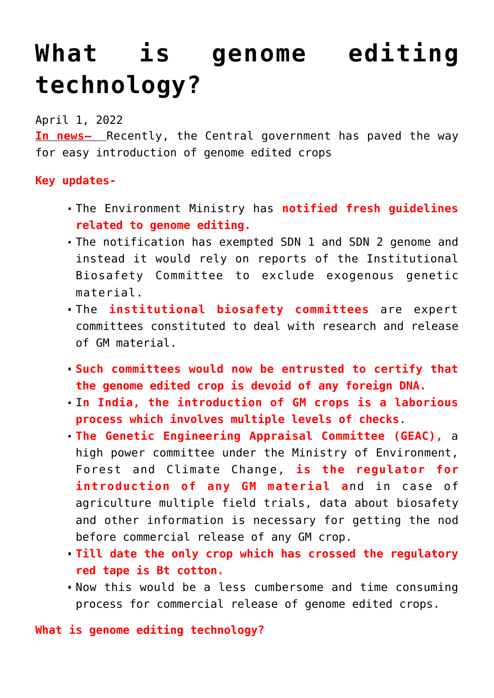# **[What is genome editing](https://journalsofindia.com/what-is-genome-editing-technology/) [technology?](https://journalsofindia.com/what-is-genome-editing-technology/)**

## April 1, 2022

**In news–** Recently, the Central government has paved the way for easy introduction of genome edited crops

### **Key updates-**

- The Environment Ministry has **notified fresh guidelines related to genome editing.**
- The notification has exempted SDN 1 and SDN 2 genome and instead it would rely on reports of the Institutional Biosafety Committee to exclude exogenous genetic material.
- The **institutional biosafety committees** are expert committees constituted to deal with research and release of GM material.
- **Such committees would now be entrusted to certify that the genome edited crop is devoid of any foreign DNA.**
- I**n India, the introduction of GM crops is a laborious process which involves multiple levels of checks**.
- **The Genetic Engineering Appraisal Committee (GEAC),** a high power committee under the Ministry of Environment, Forest and Climate Change, **is the regulator for introduction of any GM material a**nd in case of agriculture multiple field trials, data about biosafety and other information is necessary for getting the nod before commercial release of any GM crop.
- **Till date the only crop which has crossed the regulatory red tape is Bt cotton.**
- Now this would be a less cumbersome and time consuming process for commercial release of genome edited crops.

### **What is genome editing technology?**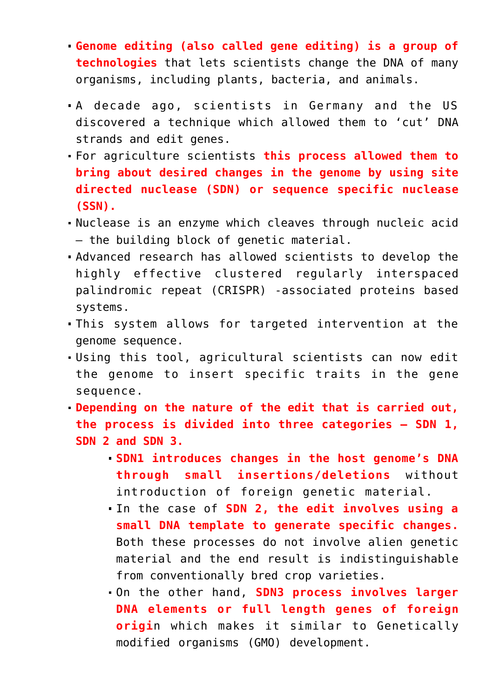- **Genome editing (also called gene editing) is a group of technologies** that lets scientists change the DNA of many organisms, including plants, bacteria, and animals.
- A decade ago, scientists in Germany and the US discovered a technique which allowed them to 'cut' DNA strands and edit genes.
- For agriculture scientists **this process allowed them to bring about desired changes in the genome by using site directed nuclease (SDN) or sequence specific nuclease (SSN).**
- Nuclease is an enzyme which cleaves through nucleic acid — the building block of genetic material.
- Advanced research has allowed scientists to develop the highly effective clustered regularly interspaced palindromic repeat (CRISPR) -associated proteins based systems.
- This system allows for targeted intervention at the genome sequence.
- Using this tool, agricultural scientists can now edit the genome to insert specific traits in the gene sequence.
- **Depending on the nature of the edit that is carried out, the process is divided into three categories — SDN 1, SDN 2 and SDN 3.**
	- **SDN1 introduces changes in the host genome's DNA through small insertions/deletions** without introduction of foreign genetic material.
	- In the case of **SDN 2, the edit involves using a small DNA template to generate specific changes.** Both these processes do not involve alien genetic material and the end result is indistinguishable from conventionally bred crop varieties.
	- On the other hand, **SDN3 process involves larger DNA elements or full length genes of foreign origi**n which makes it similar to Genetically modified organisms (GMO) development.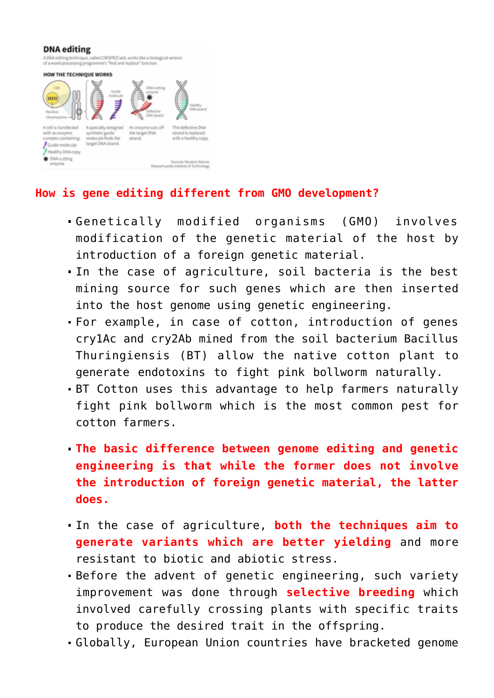#### **DNA** editing

A DNA editing technique, called CRISPR/Cas9, works like a biological version<br>of a word-processing programme's "find and replace" function.

#### HOW THE TECHNIQUE WORKS



#### **How is gene editing different from GMO development?**

- Genetically modified organisms (GMO) involves modification of the genetic material of the host by introduction of a foreign genetic material.
- In the case of agriculture, soil bacteria is the best mining source for such genes which are then inserted into the host genome using genetic engineering.
- For example, in case of cotton, introduction of genes cry1Ac and cry2Ab mined from the soil bacterium Bacillus Thuringiensis (BT) allow the native cotton plant to generate endotoxins to fight pink bollworm naturally.
- BT Cotton uses this advantage to help farmers naturally fight pink bollworm which is the most common pest for cotton farmers.
- **The basic difference between genome editing and genetic engineering is that while the former does not involve the introduction of foreign genetic material, the latter does.**
- In the case of agriculture, **both the techniques aim to generate variants which are better yielding** and more resistant to biotic and abiotic stress.
- Before the advent of genetic engineering, such variety improvement was done through **selective breeding** which involved carefully crossing plants with specific traits to produce the desired trait in the offspring.
- Globally, European Union countries have bracketed genome